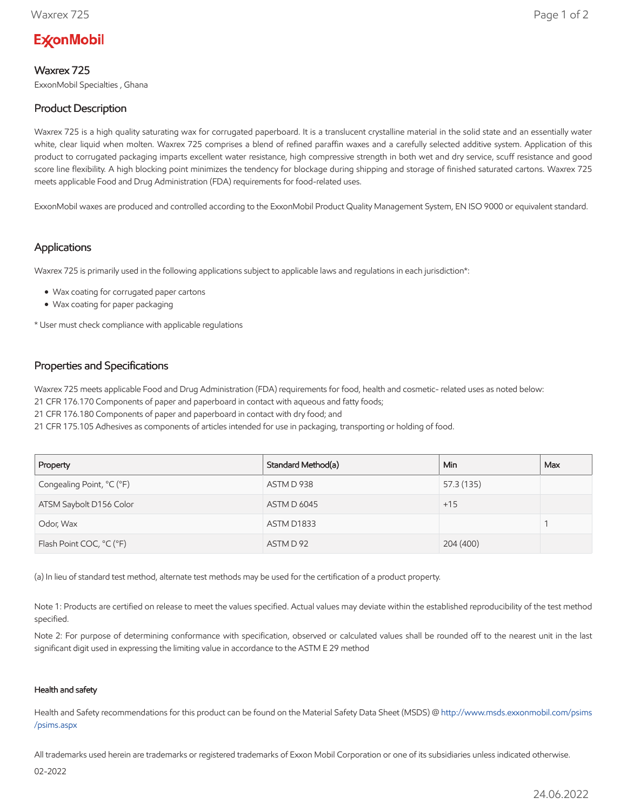# **ExconMobil**

### Waxrex 725

ExxonMobil Specialties , Ghana

## Product Description

Waxrex 725 is a high quality saturating wax for corrugated paperboard. It is a translucent crystalline material in the solid state and an essentially water white, clear liquid when molten. Waxrex 725 comprises a blend of refined paraffin waxes and a carefully selected additive system. Application of this product to corrugated packaging imparts excellent water resistance, high compressive strength in both wet and dry service, scuff resistance and good score line flexibility. A high blocking point minimizes the tendency for blockage during shipping and storage of finished saturated cartons. Waxrex 725 meets applicable Food and Drug Administration (FDA) requirements for food-related uses.

ExxonMobil waxes are produced and controlled according to the ExxonMobil Product Quality Management System, EN ISO 9000 or equivalent standard.

#### Applications

Waxrex 725 is primarily used in the following applications subject to applicable laws and regulations in each jurisdiction\*:

- Wax coating for corrugated paper cartons
- Wax coating for paper packaging

\* User must check compliance with applicable regulations

#### Properties and Specifications

Waxrex 725 meets applicable Food and Drug Administration (FDA) requirements for food, health and cosmetic- related uses as noted below:

21 CFR 176.170 Components of paper and paperboard in contact with aqueous and fatty foods;

21 CFR 176.180 Components of paper and paperboard in contact with dry food; and

21 CFR 175.105 Adhesives as components of articles intended for use in packaging, transporting or holding of food.

| Property                  | Standard Method(a) | Min.       | Max |
|---------------------------|--------------------|------------|-----|
| Congealing Point, °C (°F) | ASTM D 938         | 57.3 (135) |     |
| ATSM Saybolt D156 Color   | <b>ASTM D 6045</b> | $+15$      |     |
| Odor, Wax                 | ASTM D1833         |            |     |
| Flash Point COC, °C (°F)  | ASTM D 92          | 204 (400)  |     |

(a) In lieu of standard test method, alternate test methods may be used for the certification of a product property.

Note 1: Products are certified on release to meet the values specified. Actual values may deviate within the established reproducibility of the test method specified.

Note 2: For purpose of determining conformance with specification, observed or calculated values shall be rounded off to the nearest unit in the last significant digit used in expressing the limiting value in accordance to the ASTM E 29 method

#### Health and safety

Health and Safety recommendations for this product can be found on the Material Safety Data Sheet (MSDS) @ [http://www.msds.exxonmobil.com/psims](http://www.msds.exxonmobil.com/psims/psims.aspx) /psims.aspx

All trademarks used herein are trademarks or registered trademarks of Exxon Mobil Corporation or one of its subsidiaries unless indicated otherwise.